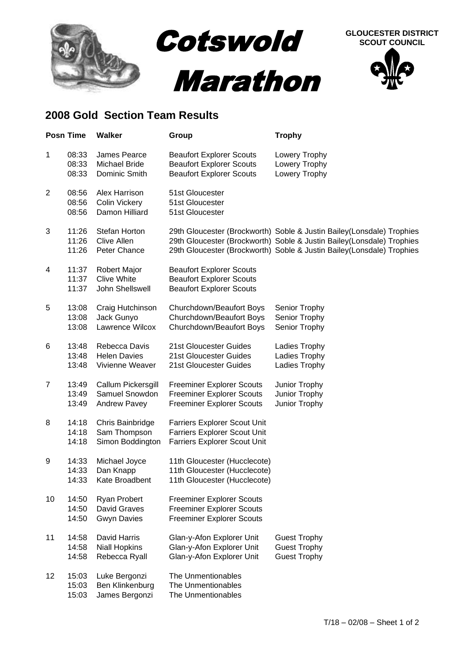

## **2008 Gold Section Team Results**

|                | <b>Posn Time</b>        | <b>Walker</b>                                                | Group                                                                                                             | <b>Trophy</b>                                                                                                                                                                                                            |
|----------------|-------------------------|--------------------------------------------------------------|-------------------------------------------------------------------------------------------------------------------|--------------------------------------------------------------------------------------------------------------------------------------------------------------------------------------------------------------------------|
| 1              | 08:33<br>08:33<br>08:33 | James Pearce<br>Michael Bride<br>Dominic Smith               | <b>Beaufort Explorer Scouts</b><br><b>Beaufort Explorer Scouts</b><br><b>Beaufort Explorer Scouts</b>             | Lowery Trophy<br>Lowery Trophy<br>Lowery Trophy                                                                                                                                                                          |
| $\overline{2}$ | 08:56<br>08:56<br>08:56 | Alex Harrison<br>Colin Vickery<br>Damon Hilliard             | 51st Gloucester<br>51st Gloucester<br>51st Gloucester                                                             |                                                                                                                                                                                                                          |
| 3              | 11:26<br>11:26<br>11:26 | Stefan Horton<br><b>Clive Allen</b><br>Peter Chance          |                                                                                                                   | 29th Gloucester (Brockworth) Soble & Justin Bailey (Lonsdale) Trophies<br>29th Gloucester (Brockworth) Soble & Justin Bailey(Lonsdale) Trophies<br>29th Gloucester (Brockworth) Soble & Justin Bailey(Lonsdale) Trophies |
| 4              | 11:37<br>11:37<br>11:37 | Robert Major<br><b>Clive White</b><br>John Shellswell        | <b>Beaufort Explorer Scouts</b><br><b>Beaufort Explorer Scouts</b><br><b>Beaufort Explorer Scouts</b>             |                                                                                                                                                                                                                          |
| 5              | 13:08<br>13:08<br>13:08 | Craig Hutchinson<br>Jack Gunyo<br>Lawrence Wilcox            | Churchdown/Beaufort Boys<br>Churchdown/Beaufort Boys<br>Churchdown/Beaufort Boys                                  | Senior Trophy<br>Senior Trophy<br>Senior Trophy                                                                                                                                                                          |
| 6              | 13:48<br>13:48<br>13:48 | Rebecca Davis<br><b>Helen Davies</b><br>Vivienne Weaver      | 21st Gloucester Guides<br>21st Gloucester Guides<br>21st Gloucester Guides                                        | Ladies Trophy<br>Ladies Trophy<br>Ladies Trophy                                                                                                                                                                          |
| 7              | 13:49<br>13:49<br>13:49 | Callum Pickersgill<br>Samuel Snowdon<br>Andrew Pavey         | <b>Freeminer Explorer Scouts</b><br><b>Freeminer Explorer Scouts</b><br><b>Freeminer Explorer Scouts</b>          | Junior Trophy<br>Junior Trophy<br>Junior Trophy                                                                                                                                                                          |
| 8              | 14:18<br>14:18<br>14:18 | Chris Bainbridge<br>Sam Thompson<br>Simon Boddington         | <b>Farriers Explorer Scout Unit</b><br><b>Farriers Explorer Scout Unit</b><br><b>Farriers Explorer Scout Unit</b> |                                                                                                                                                                                                                          |
| 9              | 14:33<br>14:33<br>14:33 | Michael Joyce<br>Dan Knapp<br>Kate Broadbent                 | 11th Gloucester (Hucclecote)<br>11th Gloucester (Hucclecote)<br>11th Gloucester (Hucclecote)                      |                                                                                                                                                                                                                          |
| 10             | 14:50<br>14:50<br>14:50 | <b>Ryan Probert</b><br>David Graves<br><b>Gwyn Davies</b>    | <b>Freeminer Explorer Scouts</b><br><b>Freeminer Explorer Scouts</b><br><b>Freeminer Explorer Scouts</b>          |                                                                                                                                                                                                                          |
| 11             | 14:58<br>14:58<br>14:58 | <b>David Harris</b><br><b>Niall Hopkins</b><br>Rebecca Ryall | Glan-y-Afon Explorer Unit<br>Glan-y-Afon Explorer Unit<br>Glan-y-Afon Explorer Unit                               | <b>Guest Trophy</b><br><b>Guest Trophy</b><br><b>Guest Trophy</b>                                                                                                                                                        |
| 12             | 15:03<br>15:03<br>15:03 | Luke Bergonzi<br>Ben Klinkenburg<br>James Bergonzi           | The Unmentionables<br>The Unmentionables<br>The Unmentionables                                                    |                                                                                                                                                                                                                          |